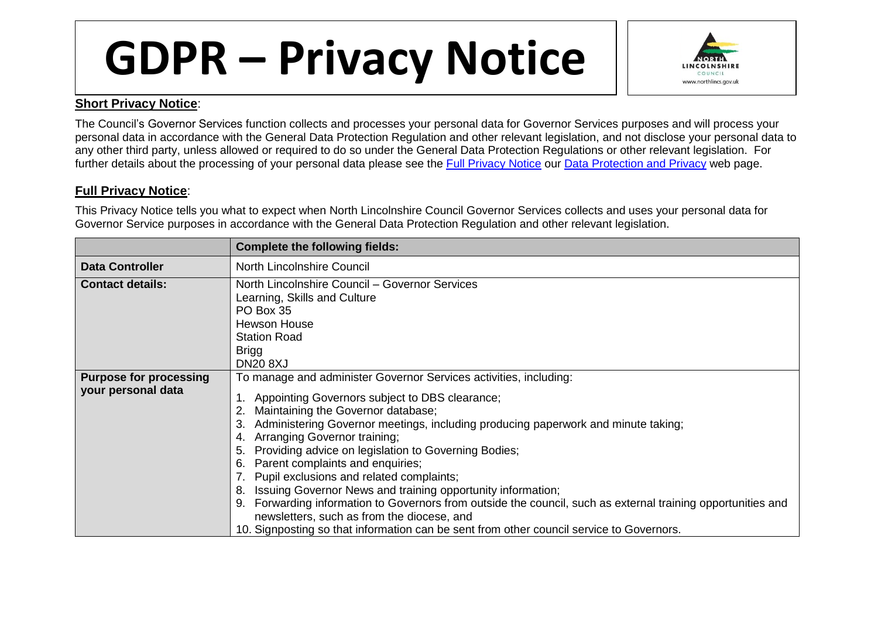## **GDPR – Privacy Notice**



## **Short Privacy Notice**:

The Council's Governor Services function collects and processes your personal data for Governor Services purposes and will process your personal data in accordance with the General Data Protection Regulation and other relevant legislation, and not disclose your personal data to any other third party, unless allowed or required to do so under the General Data Protection Regulations or other relevant legislation. For further details about the processing of your personal data please see the [Full Privacy Notice](http://www.northlincs.gov.uk/site/privacy/) our [Data Protection and Privacy](http://www.northlincs.gov.uk/your-council/information-and-performance/information-governance/dataprotection/) web page.

## **Full Privacy Notice**:

This Privacy Notice tells you what to expect when North Lincolnshire Council Governor Services collects and uses your personal data for Governor Service purposes in accordance with the General Data Protection Regulation and other relevant legislation.

|                                                     | <b>Complete the following fields:</b>                                                                                                                                                                                                                                                                                                                                                                                                                                                                                                                                                                                                                                                                                                           |
|-----------------------------------------------------|-------------------------------------------------------------------------------------------------------------------------------------------------------------------------------------------------------------------------------------------------------------------------------------------------------------------------------------------------------------------------------------------------------------------------------------------------------------------------------------------------------------------------------------------------------------------------------------------------------------------------------------------------------------------------------------------------------------------------------------------------|
| <b>Data Controller</b>                              | North Lincolnshire Council                                                                                                                                                                                                                                                                                                                                                                                                                                                                                                                                                                                                                                                                                                                      |
| <b>Contact details:</b>                             | North Lincolnshire Council - Governor Services<br>Learning, Skills and Culture<br>PO Box 35<br><b>Hewson House</b><br><b>Station Road</b><br><b>Brigg</b><br><b>DN20 8XJ</b>                                                                                                                                                                                                                                                                                                                                                                                                                                                                                                                                                                    |
| <b>Purpose for processing</b><br>your personal data | To manage and administer Governor Services activities, including:<br>Appointing Governors subject to DBS clearance;<br>Maintaining the Governor database;<br>Administering Governor meetings, including producing paperwork and minute taking;<br>Arranging Governor training;<br>Providing advice on legislation to Governing Bodies;<br>Parent complaints and enquiries;<br>7. Pupil exclusions and related complaints;<br>Issuing Governor News and training opportunity information;<br>Forwarding information to Governors from outside the council, such as external training opportunities and<br>newsletters, such as from the diocese, and<br>10. Signposting so that information can be sent from other council service to Governors. |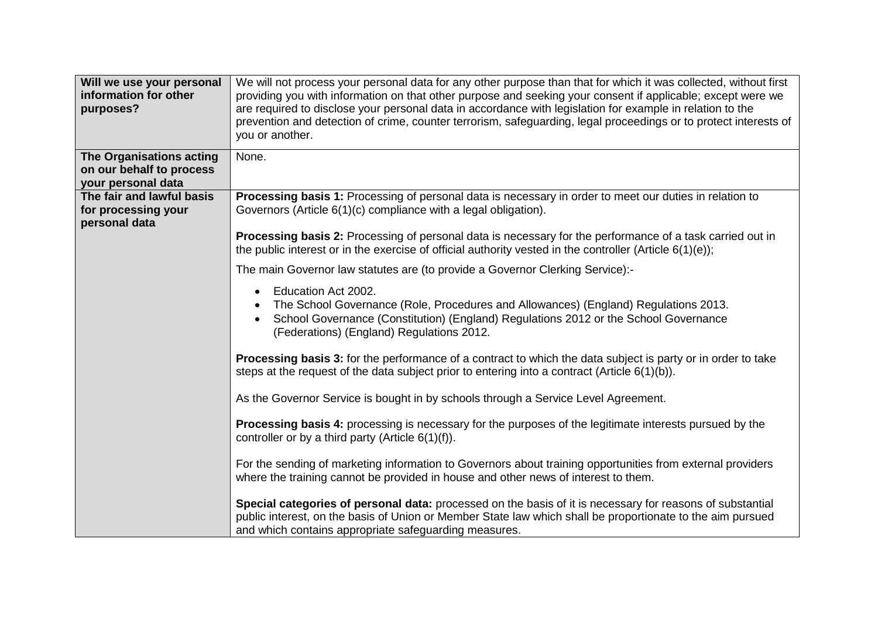| Will we use your personal<br>information for other<br>purposes?            | We will not process your personal data for any other purpose than that for which it was collected, without first<br>providing you with information on that other purpose and seeking your consent if applicable; except were we<br>are required to disclose your personal data in accordance with legislation for example in relation to the<br>prevention and detection of crime, counter terrorism, safeguarding, legal proceedings or to protect interests of<br>you or another. |
|----------------------------------------------------------------------------|-------------------------------------------------------------------------------------------------------------------------------------------------------------------------------------------------------------------------------------------------------------------------------------------------------------------------------------------------------------------------------------------------------------------------------------------------------------------------------------|
| The Organisations acting<br>on our behalf to process<br>your personal data | None.                                                                                                                                                                                                                                                                                                                                                                                                                                                                               |
| The fair and lawful basis<br>for processing your<br>personal data          | Processing basis 1: Processing of personal data is necessary in order to meet our duties in relation to<br>Governors (Article 6(1)(c) compliance with a legal obligation).                                                                                                                                                                                                                                                                                                          |
|                                                                            | Processing basis 2: Processing of personal data is necessary for the performance of a task carried out in<br>the public interest or in the exercise of official authority vested in the controller (Article $6(1)(e)$ );                                                                                                                                                                                                                                                            |
|                                                                            | The main Governor law statutes are (to provide a Governor Clerking Service):-                                                                                                                                                                                                                                                                                                                                                                                                       |
|                                                                            | Education Act 2002.<br>$\bullet$<br>The School Governance (Role, Procedures and Allowances) (England) Regulations 2013.<br>School Governance (Constitution) (England) Regulations 2012 or the School Governance<br>(Federations) (England) Regulations 2012.                                                                                                                                                                                                                        |
|                                                                            | Processing basis 3: for the performance of a contract to which the data subject is party or in order to take<br>steps at the request of the data subject prior to entering into a contract (Article $6(1)(b)$ ).                                                                                                                                                                                                                                                                    |
|                                                                            | As the Governor Service is bought in by schools through a Service Level Agreement.                                                                                                                                                                                                                                                                                                                                                                                                  |
|                                                                            | <b>Processing basis 4:</b> processing is necessary for the purposes of the legitimate interests pursued by the<br>controller or by a third party (Article $6(1)(f)$ ).                                                                                                                                                                                                                                                                                                              |
|                                                                            | For the sending of marketing information to Governors about training opportunities from external providers<br>where the training cannot be provided in house and other news of interest to them.                                                                                                                                                                                                                                                                                    |
|                                                                            | Special categories of personal data: processed on the basis of it is necessary for reasons of substantial<br>public interest, on the basis of Union or Member State law which shall be proportionate to the aim pursued<br>and which contains appropriate safeguarding measures.                                                                                                                                                                                                    |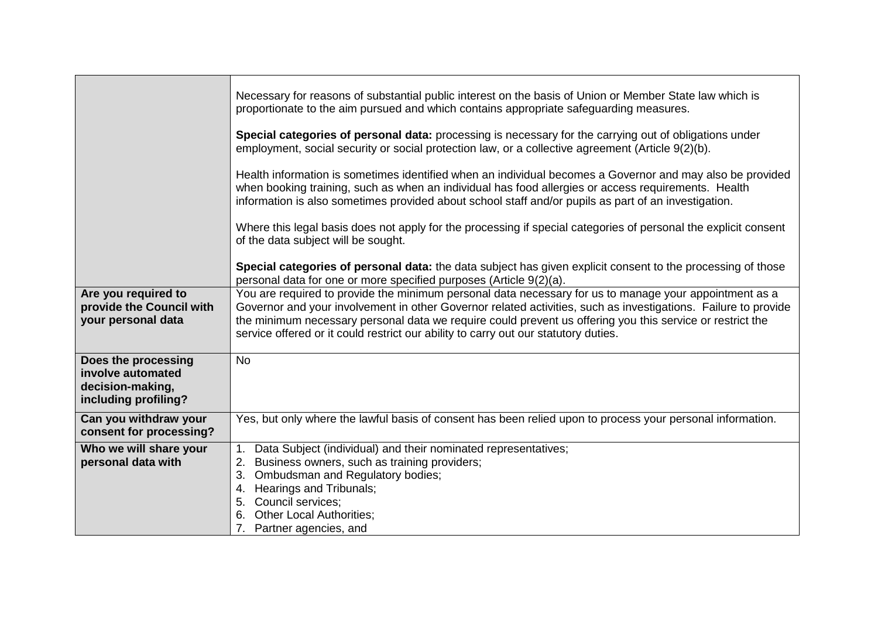|                                                                                      | Necessary for reasons of substantial public interest on the basis of Union or Member State law which is<br>proportionate to the aim pursued and which contains appropriate safeguarding measures.                                                                                                                                                                                                                            |
|--------------------------------------------------------------------------------------|------------------------------------------------------------------------------------------------------------------------------------------------------------------------------------------------------------------------------------------------------------------------------------------------------------------------------------------------------------------------------------------------------------------------------|
|                                                                                      | Special categories of personal data: processing is necessary for the carrying out of obligations under<br>employment, social security or social protection law, or a collective agreement (Article 9(2)(b).                                                                                                                                                                                                                  |
|                                                                                      | Health information is sometimes identified when an individual becomes a Governor and may also be provided<br>when booking training, such as when an individual has food allergies or access requirements. Health<br>information is also sometimes provided about school staff and/or pupils as part of an investigation.                                                                                                     |
|                                                                                      | Where this legal basis does not apply for the processing if special categories of personal the explicit consent<br>of the data subject will be sought.                                                                                                                                                                                                                                                                       |
|                                                                                      | Special categories of personal data: the data subject has given explicit consent to the processing of those<br>personal data for one or more specified purposes (Article 9(2)(a).                                                                                                                                                                                                                                            |
| Are you required to<br>provide the Council with<br>your personal data                | You are required to provide the minimum personal data necessary for us to manage your appointment as a<br>Governor and your involvement in other Governor related activities, such as investigations. Failure to provide<br>the minimum necessary personal data we require could prevent us offering you this service or restrict the<br>service offered or it could restrict our ability to carry out our statutory duties. |
| Does the processing<br>involve automated<br>decision-making,<br>including profiling? | <b>No</b>                                                                                                                                                                                                                                                                                                                                                                                                                    |
| Can you withdraw your<br>consent for processing?                                     | Yes, but only where the lawful basis of consent has been relied upon to process your personal information.                                                                                                                                                                                                                                                                                                                   |
| Who we will share your                                                               | Data Subject (individual) and their nominated representatives;<br>1 <sub>1</sub>                                                                                                                                                                                                                                                                                                                                             |
| personal data with                                                                   | 2. Business owners, such as training providers;                                                                                                                                                                                                                                                                                                                                                                              |
|                                                                                      | 3. Ombudsman and Regulatory bodies;<br>Hearings and Tribunals;<br>4.                                                                                                                                                                                                                                                                                                                                                         |
|                                                                                      | Council services;<br>5.                                                                                                                                                                                                                                                                                                                                                                                                      |
|                                                                                      | <b>Other Local Authorities;</b>                                                                                                                                                                                                                                                                                                                                                                                              |
|                                                                                      | 7. Partner agencies, and                                                                                                                                                                                                                                                                                                                                                                                                     |